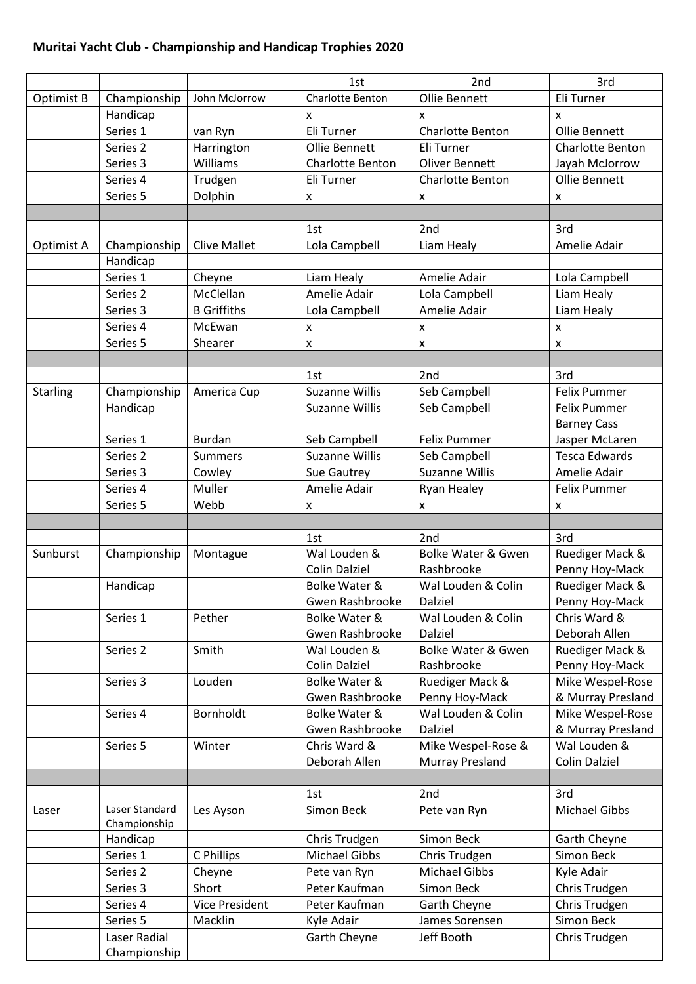## **Muritai Yacht Club - Championship and Handicap Trophies 2020**

|                 |                              |                       | 1st                     | 2 <sub>nd</sub>               | 3rd                  |
|-----------------|------------------------------|-----------------------|-------------------------|-------------------------------|----------------------|
| Optimist B      | Championship                 | John McJorrow         | Charlotte Benton        | Ollie Bennett                 | Eli Turner           |
|                 | Handicap                     |                       | X                       | x                             | x                    |
|                 | Series 1                     | van Ryn               | Eli Turner              | Charlotte Benton              | Ollie Bennett        |
|                 | Series 2                     | Harrington            | Ollie Bennett           | Eli Turner                    | Charlotte Benton     |
|                 | Series 3                     | Williams              | <b>Charlotte Benton</b> | <b>Oliver Bennett</b>         | Jayah McJorrow       |
|                 | Series 4                     | Trudgen               | Eli Turner              | Charlotte Benton              | Ollie Bennett        |
|                 | Series 5                     | Dolphin               | X                       | X                             | X                    |
|                 |                              |                       |                         |                               |                      |
|                 |                              |                       | 1st                     | 2 <sub>nd</sub>               | 3rd                  |
| Optimist A      | Championship                 | <b>Clive Mallet</b>   | Lola Campbell           | Liam Healy                    | Amelie Adair         |
|                 | Handicap                     |                       |                         |                               |                      |
|                 | Series 1                     | Cheyne                | Liam Healy              | Amelie Adair                  | Lola Campbell        |
|                 | Series 2                     | McClellan             | Amelie Adair            | Lola Campbell                 | Liam Healy           |
|                 | Series 3                     | <b>B</b> Griffiths    | Lola Campbell           | Amelie Adair                  | Liam Healy           |
|                 | Series 4                     | McEwan                | $\pmb{\mathsf{X}}$      | X                             | $\pmb{\mathsf{x}}$   |
|                 | Series 5                     | Shearer               | $\pmb{\mathsf{X}}$      | $\pmb{\times}$                | X                    |
|                 |                              |                       |                         |                               |                      |
|                 |                              |                       | 1st                     | 2nd                           | 3rd                  |
| <b>Starling</b> | Championship                 | America Cup           | <b>Suzanne Willis</b>   | Seb Campbell                  | <b>Felix Pummer</b>  |
|                 | Handicap                     |                       | <b>Suzanne Willis</b>   | Seb Campbell                  | <b>Felix Pummer</b>  |
|                 |                              |                       |                         |                               | <b>Barney Cass</b>   |
|                 | Series 1                     | <b>Burdan</b>         | Seb Campbell            | <b>Felix Pummer</b>           | Jasper McLaren       |
|                 | Series 2                     | <b>Summers</b>        | <b>Suzanne Willis</b>   | Seb Campbell                  | <b>Tesca Edwards</b> |
|                 | Series 3                     | Cowley                | Sue Gautrey             | <b>Suzanne Willis</b>         | Amelie Adair         |
|                 | Series 4                     | Muller                | Amelie Adair            | Ryan Healey                   | <b>Felix Pummer</b>  |
|                 | Series 5                     | Webb                  | x                       | $\pmb{\mathsf{X}}$            | x                    |
|                 |                              |                       |                         |                               |                      |
|                 |                              |                       | 1st                     | 2nd                           | 3rd                  |
| Sunburst        | Championship                 | Montague              | Wal Louden &            | <b>Bolke Water &amp; Gwen</b> | Ruediger Mack &      |
|                 |                              |                       | <b>Colin Dalziel</b>    | Rashbrooke                    | Penny Hoy-Mack       |
|                 | Handicap                     |                       | Bolke Water &           | Wal Louden & Colin            | Ruediger Mack &      |
|                 |                              |                       | Gwen Rashbrooke         | Dalziel                       | Penny Hoy-Mack       |
|                 | Series 1                     | Pether                | Bolke Water &           | Wal Louden & Colin            | Chris Ward &         |
|                 |                              |                       | Gwen Rashbrooke         | Dalziel                       | Deborah Allen        |
|                 | Series 2                     | Smith                 | Wal Louden &            | <b>Bolke Water &amp; Gwen</b> | Ruediger Mack &      |
|                 |                              |                       | <b>Colin Dalziel</b>    | Rashbrooke                    | Penny Hoy-Mack       |
|                 | Series 3                     | Louden                | Bolke Water &           | Ruediger Mack &               | Mike Wespel-Rose     |
|                 |                              |                       | Gwen Rashbrooke         | Penny Hoy-Mack                | & Murray Presland    |
|                 | Series 4                     | Bornholdt             | Bolke Water &           | Wal Louden & Colin            | Mike Wespel-Rose     |
|                 |                              |                       | Gwen Rashbrooke         | Dalziel                       | & Murray Presland    |
|                 | Series 5                     | Winter                | Chris Ward &            | Mike Wespel-Rose &            | Wal Louden &         |
|                 |                              |                       | Deborah Allen           | Murray Presland               | Colin Dalziel        |
|                 |                              |                       |                         |                               | 3rd                  |
|                 | Laser Standard               |                       | 1st<br>Simon Beck       | 2 <sub>nd</sub>               | <b>Michael Gibbs</b> |
| Laser           | Championship                 | Les Ayson             |                         | Pete van Ryn                  |                      |
|                 | Handicap                     |                       | Chris Trudgen           | Simon Beck                    | Garth Cheyne         |
|                 | Series 1                     | C Phillips            | <b>Michael Gibbs</b>    | Chris Trudgen                 | Simon Beck           |
|                 | Series 2                     | Cheyne                | Pete van Ryn            | Michael Gibbs                 | Kyle Adair           |
|                 | Series 3                     | Short                 | Peter Kaufman           | Simon Beck                    | Chris Trudgen        |
|                 | Series 4                     | <b>Vice President</b> | Peter Kaufman           | Garth Cheyne                  | Chris Trudgen        |
|                 | Series 5                     | Macklin               | Kyle Adair              | James Sorensen                | Simon Beck           |
|                 | Laser Radial<br>Championship |                       | Garth Cheyne            | Jeff Booth                    | Chris Trudgen        |